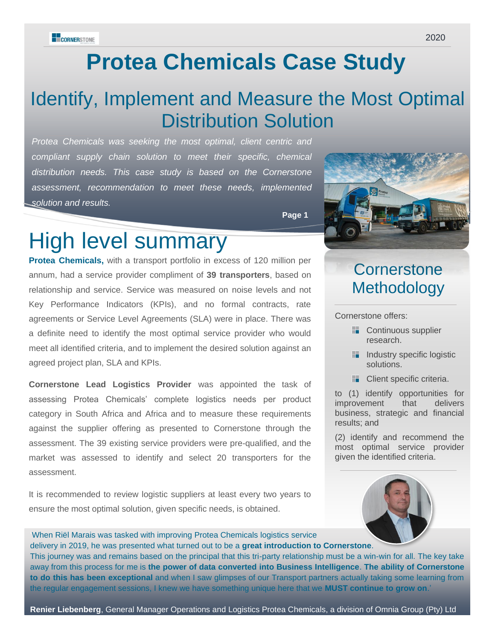# **Protea Chemicals Case Study**

### Identify, Implement and Measure the Most Optimal Distribution Solution

*Protea Chemicals was seeking the most optimal, client centric and compliant supply chain solution to meet their specific, chemical distribution needs. This case study is based on the Cornerstone assessment, recommendation to meet these needs, implemented solution and results.*

**Page 1**

## High level summary

**Protea Chemicals,** with a transport portfolio in excess of 120 million per annum, had a service provider compliment of **39 transporters**, based on relationship and service. Service was measured on noise levels and not Key Performance Indicators (KPIs), and no formal contracts, rate agreements or Service Level Agreements (SLA) were in place. There was a definite need to identify the most optimal service provider who would meet all identified criteria, and to implement the desired solution against an agreed project plan, SLA and KPIs.

**Cornerstone Lead Logistics Provider** was appointed the task of assessing Protea Chemicals' complete logistics needs per product category in South Africa and Africa and to measure these requirements against the supplier offering as presented to Cornerstone through the assessment. The 39 existing service providers were pre-qualified, and the market was assessed to identify and select 20 transporters for the assessment.

It is recommended to review logistic suppliers at least every two years to ensure the most optimal solution, given specific needs, is obtained.



### **Cornerstone Methodology**

Cornerstone offers:

- **Continuous supplier** research.
- **Industry specific logistic** solutions.
- **Client specific criteria.**

to (1) identify opportunities for improvement that delivers business, strategic and financial results; and

(2) identify and recommend the most optimal service provider given the identified criteria.



'When Riël Marais was tasked with improving Protea Chemicals logistics service delivery in 2019, he was presented what turned out to be a **great introduction to Cornerstone**. This journey was and remains based on the principal that this tri-party relationship must be a win-win for all. The key take away from this process for me is **the power of data converted into Business Intelligence**. **The ability of Cornerstone to do this has been exceptional** and when I saw glimpses of our Transport partners actually taking some learning from the regular engagement sessions, I knew we have something unique here that we **MUST continue to grow on**.'

**Renier Liebenberg**, General Manager Operations and Logistics Protea Chemicals, a division of Omnia Group (Pty) Ltd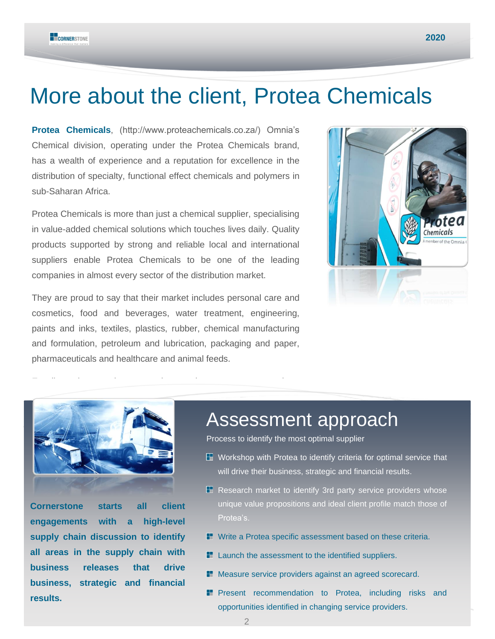### More about the client, Protea Chemicals

**Protea Chemicals**, (http://www.proteachemicals.co.za/) Omnia's Chemical division, operating under the Protea Chemicals brand, has a wealth of experience and a reputation for excellence in the distribution of specialty, functional effect chemicals and polymers in sub-Saharan Africa.

Protea Chemicals is more than just a chemical supplier, specialising in value-added chemical solutions which touches lives daily. Quality products supported by strong and reliable local and international suppliers enable Protea Chemicals to be one of the leading companies in almost every sector of the distribution market.

They are proud to say that their market includes personal care and cosmetics, food and beverages, water treatment, engineering, paints and inks, textiles, plastics, rubber, chemical manufacturing and formulation, petroleum and lubrication, packaging and paper, pharmaceuticals and healthcare and animal feeds.





**Cornerstone starts all client engagements with a high-level supply chain discussion to identify all areas in the supply chain with business releases that drive business, strategic and financial results.**

### Assessment approach

Process to identify the most optimal supplier

- $\mathbb H$  Workshop with Protea to identify criteria for optimal service that will drive their business, strategic and financial results.
- **E** Research market to identify 3rd party service providers whose unique value propositions and ideal client profile match those of Protea's.
- **Write a Protea specific assessment based on these criteria.**
- **Launch the assessment to the identified suppliers.**
- **Measure service providers against an agreed scorecard.**
- 2 opportunities identified in changing service providers. **Present recommendation to Protea, including risks and**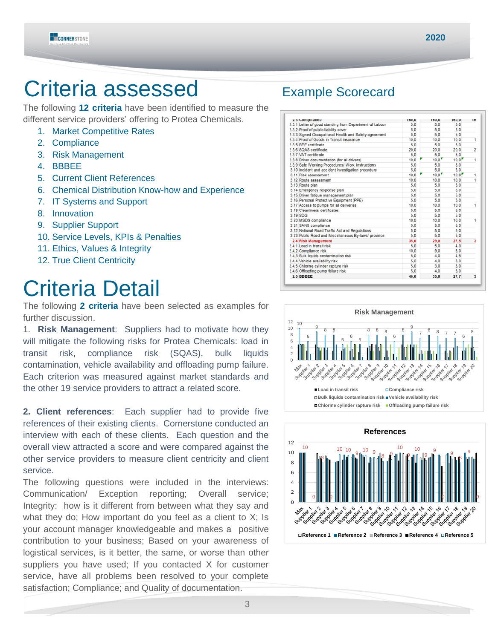

## Criteria assessed Example Scorecard

The following **12 criteria** have been identified to measure the different service providers' offering to Protea Chemicals.

- 1. Market Competitive Rates
- 2. Compliance
- 3. Risk Management
- 4. BBBEE
- 5. Current Client References
- 6. Chemical Distribution Know-how and Experience
- 7. IT Systems and Support
- 8. Innovation
- 9. Supplier Support
- 10. Service Levels, KPIs & Penalties
- 11. Ethics, Values & Integrity
- 12. True Client Centricity

# Criteria Detail

The following **2 criteria** have been selected as examples for further discussion.

1. **Risk Management**: Suppliers had to motivate how they will mitigate the following risks for Protea Chemicals: load in transit risk, compliance risk (SQAS), bulk liquids contamination, vehicle availability and offloading pump failure. Each criterion was measured against market standards and the other 19 service providers to attract a related score.

**2. Client references**: Each supplier had to provide five references of their existing clients. Cornerstone conducted an interview with each of these clients. Each question and the overall view attracted a score and were compared against the other service providers to measure client centricity and client service.

The following questions were included in the interviews: Communication/ Exception reporting; Overall service; Integrity: how is it different from between what they say and what they do; How important do you feel as a client to X; Is your account manager knowledgeable and makes a positive contribution to your business; Based on your awareness of logistical services, is it better, the same, or worse than other suppliers you have used; If you contacted X for customer service, have all problems been resolved to your complete satisfaction; Compliance; and Quality of documentation.

| <b>Z.3 Comphance</b>                                    | <b>IDU,U</b> | <b>IDU,U</b>        | <b>100,0</b> | ТC             |
|---------------------------------------------------------|--------------|---------------------|--------------|----------------|
| 2.3.1 Letter of good standing from Department of Labour | 5.0          | 5.0                 | 5.0          |                |
| 2.3.2 Proof of public liability cover                   | 5.0          | 5.0                 | 5.0          |                |
| 2.3.3 Signed Occupational Health and Safety agreement   | 5.0          | 5.0                 | 5.0          |                |
| 2.3.4 Proof of Goods in Transit insurance               | 10.0         | 10.0                | 10.0         | 1              |
| 2.3.5 BEE certificate                                   | 5.0          | 5.0                 | 5.0          |                |
| 2.3.6 SQAS certificate                                  | 20.0         | 20.0                | 20.0         | $\overline{2}$ |
| 2.3.7 VAT certificate                                   | 5.0          | 5.0                 | 5.0          |                |
| 2.3.8 Driver documentation (for all drivers)            | 10,0         | $10.0$ <sup>r</sup> | 10.0         | 1              |
| 2.3.9 Safe Working Procedures/ Work Instructions        | 5.0          | 5.0                 | 5.0          |                |
| 3.10 Incident and accident investigation procedure      | 5.0          | 5.0                 | 5.0          |                |
| 3.11 Risk assessment                                    | 10,0         | 10.0                | 10.0         | 1              |
| 3.12 Route assessment                                   | 10.0         | 10.0                | 10.0         | ï              |
| 3.13 Route plan                                         | 5.0          | 5.0                 | 5.0          |                |
| 3.14 Emergency response plan                            | 5.0          | 5.0                 | 5.0          |                |
| 3.15 Driver fatigue management plan                     | 5.0          | 5.0                 | 5.0          |                |
| 3.16 Personal Protective Equipment (PPE)                | 5.0          | 5.0                 | 5.0          |                |
| 3.17 Access to pumps for all deliveries                 | 10,0         | 10.0                | 10.0         | 1              |
| 3.18 Cleanliness certificates                           | 5.0          | 5.0                 | 5.0          |                |
| 3.19 SDG                                                | 5.0          | 5.0                 | 5.0          |                |
| 3.20 MSDS compliance                                    | 10.0         | 10.0                | 10.0         | 1              |
| 3.21 SANS compliance                                    | 5.0          | 5.0                 | 5.0          |                |
| 3.22 National Road Traffic Act and Regulations          | 5.0          | 5.0                 | 5.0          |                |
| 3.23 Public Road and Miscellaneous By-laws/ province    | 5.0          | 5.0                 | 5.0          |                |
| 2.4 Risk Management                                     | 35,0         | 29.0                | 27.5         | 3              |
| 2.4.1 Load in transit risk                              | 5.0          | 5.0                 | 4.0          |                |
| 2.4.2 Compliance risk                                   | 10.0         | 9.0                 | 8.0          |                |
| 2.4.3 Bulk liquids contamination risk                   | 5.0          | 4.0                 | 4.5          |                |
| 2.4.4 Vehicle availability risk                         | 5.0          | 4.0                 | 3.0          |                |
| 2.4.5 Chlorine cylinder rapture risk                    | 5.0          | 3.0                 | 5.0          |                |
| 2.4.6 Offloading pump failure risk                      | 5.0          | 4.0                 | 3,0          |                |
| 2.5 BBBEE                                               | 40.0         | 35.8                | 27.7         | 3              |
|                                                         |              |                     |              |                |



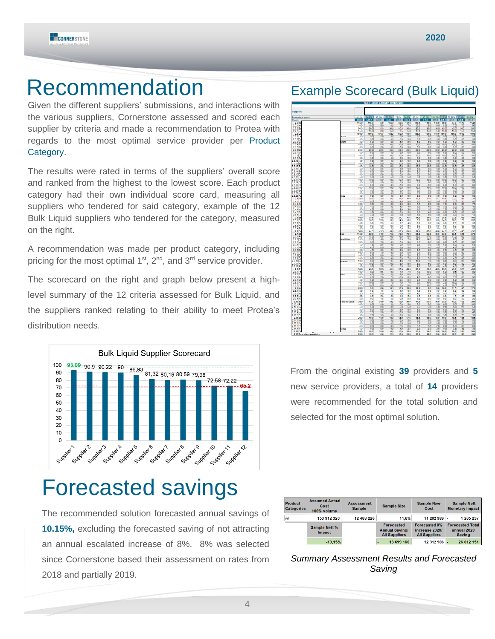

### Recommendation Example Scorecard (Bulk Liquid)

Given the different suppliers' submissions, and interactions with the various suppliers, Cornerstone assessed and scored each supplier by criteria and made a recommendation to Protea with regards to the most optimal service provider per Product Category.

The results were rated in terms of the suppliers' overall score and ranked from the highest to the lowest score. Each product category had their own individual score card, measuring all suppliers who tendered for said category, example of the 12 Bulk Liquid suppliers who tendered for the category, measured on the right.

A recommendation was made per product category, including pricing for the most optimal  $1<sup>st</sup>$ ,  $2<sup>nd</sup>$ , and  $3<sup>rd</sup>$  service provider.

The scorecard on the right and graph below present a highlevel summary of the 12 criteria assessed for Bulk Liquid, and the suppliers ranked relating to their ability to meet Protea's distribution needs.



## Forecasted savings

The recommended solution forecasted annual savings of **10.15%,** excluding the forecasted saving of not attracting an annual escalated increase of 8%. 8% was selected since Cornerstone based their assessment on rates from 2018 and partially 2019.

| <b>Suppliers</b>                     |             |                |                |                         |                    |                        |                    |               |                    |                |                    |                   |                   |                |
|--------------------------------------|-------------|----------------|----------------|-------------------------|--------------------|------------------------|--------------------|---------------|--------------------|----------------|--------------------|-------------------|-------------------|----------------|
| Percentage score                     |             | 100.0%         | <b>UR 9%</b>   | 65,2%                   | 81.3%              | 72.6% 90.0%            |                    | 80,2%         | 90.2%              | 93, 1% 72, 2%  |                    | 79.98%            | 80.6%             |                |
| <b>Points</b><br>2.2 <sub>M</sub>    |             | 630.0<br>115,0 | 591.2<br>115,0 | 4433<br>5,0             | 5530<br>105,0      | 493.5<br>59,5          | 612.0<br>112,0     | 5453<br>115,0 | 613.5<br>113,0     | 633.0<br>115,0 | 491.1<br>68,0      | 543.9<br>67,0     | 548.0<br>112,0    | 618.1<br>114,0 |
| $2.2.1$ in                           |             | 10.0           | 10.0           | 5.0                     | 00                 | 70                     | 7.0                | 10.0          | 8.0                | 10.0           | 8,0                | 70                | 7.0               |                |
| 2.2.2 Es                             |             | 90.0           | 90.0           | 0.0                     | 90.0               | 45.0                   | 90.0               | 90.0          | 90.0               | 90.0           | 45.0               | 45.0              | 90.Q              | 90.Q           |
| $2.2.3$ ins                          |             | 15,0           | 15,0           | 0.0                     | 15.0               | 7.5                    | 15,0               | 15,0          | 15.0               | 150            | 15,0               | 15.0              | 15,0              | 15.0           |
| 2.3 <sub>C</sub>                     |             | 160,0          | 160.0          | 150,5                   | 152,5              | 160,0                  | 160,0              | 155,0         | 160,0              | 160.0          | 160,0              | 160,0             | 160.0             | 160,0          |
| 2.3.1 Le                             | shout       | 5.0            | 5.0            | 5.0                     | 5.0                | 5.0                    | 5.0                | 5.0           | 5.0                | 5.0            | 5.0                | 5.0               | 5.0               |                |
| $2.3.2$ <sub>Pr</sub><br>$2.3.3$ Sic | mont        | 5.0<br>5.0     | 5,0<br>60      | 5,0<br>0.0              | 5,0<br>25          | 5,0<br>5.0             | 5,0<br>5,0         | 5,0<br>5.0    | 5.0<br>60          | 5.0<br>50      | 5,0<br>5,0         | 5,0<br>60         | 5.0<br>50         |                |
| 2.3.4 Ph                             |             | 10,0           | 10,0           | 10,0                    | 10,0               | 10,0                   | 10,0               | 10,0          | 10,0               | 10,0           | 10,0               | 10,0              | 10,0              | 10,0           |
| 2.3.5 BE                             |             | 5.0            | 5.0            | 5.0                     | 5.0                | 5.0                    | 5.0                | 5.0           | 5.0                | 5.0            | 5.0                | 5.0               | 5.0               |                |
| $2.3.6$ SC                           |             | 20,0           | 20,0           | 20,0                    | 20,0               | 20,0                   | 20,0               | 20,0          | 20,0               | 20,0           | 20,0               | 20,0              | 20,0              | 20,0           |
| 2.3.7 VA                             |             | 6.0            | 6.0            | 5.0                     | 5.0                | 6.0                    | 6.0                | 5.0           | 5.0                | 5.0            | 5.0                | 5.0               | 5.0               |                |
| 2.3.8 Dr                             |             | 10.0           | 10,0           | 8.0                     | 10,0               | 10,0                   | 10,0               | 10,0          | 10,0               | 10.0           | 10,0               | 10,0              | 10.0              | 10,0           |
| 2.3.9 Sa                             |             | 5.0            | 5.0            | 5.0                     | 5.0                | 5.0                    | 5.0                | 5.0           | 5.0                | 5.0            | 5.0                | 5.0               | 5.0               |                |
| 2.3.10 h<br>R                        |             | 6,0<br>10.0    | 5,0<br>10.0    | 5,0<br>10.0             | 6,0<br>10.0        | 5,0<br>10.0            | 5,0<br>10,0        | 5,0<br>10.0   | 5,0<br>10.0        | 5,0<br>10.0    | 5,0<br>10,0        | 5,0<br>10.0       | 5,0<br>10.0       |                |
| 2.3.11<br>2.3.12 Rd                  |             | 10,0           | 10,0           | 10,0                    | 10,0               | 10.0                   | 10,0               | 10,0          | 10,0               | 10.0           | 10,0               | 10.0              | 10,0              | 10.0<br>10,0   |
| 2.3.13 Rd                            |             | 5,0            | 5,0            | 2.5                     | 5,0                | 5,0                    | 5,0                | 5,0           | 5,0                | 5.0            | 5,0                | 5,0               | 5,0               |                |
| 2.3.14 Er                            |             | 60             | 6.0            | 5.0                     | 5.0                | 6.0                    | 6.0                | 5.0           | 6.0                | 5.0            | 5.0                | 6.0               | 6.0               |                |
| 2.3.15 D                             |             | 5,0            | 5,0            | 5,0                     | 5,0                | 5,0                    | 5,0                | 5,0           | 5,0                | 5.0            | 5,0                | 5.0               | 5,0               |                |
|                                      |             | 5,0            | 5,0            | 5.0                     | 5.0                | 5.0                    | 5.0                | 5.0           | 5.0                | 5.0            | 5.0                | 5.0               | 5.0               |                |
| 2.3.17 Ac                            |             | 10,0           | 10,0           | 10,0                    | 10,0               | 10,0                   | 10,0               | 10,0          | 10,0               | 10,0           | 10,0               | 10,0              | 10,0              | 10,0           |
| 2.3.18 <sub>°</sub><br>2.3.19 SD     |             | 5,0<br>5.0     | 5.0<br>5.0     | 5.0<br>50               | 5.0<br>00          | 5.0<br>50              | 5,0<br>50          | 5.0<br>0,0    | 5.0<br>50          | 5.0<br>50      | 5.0<br>50          | 5.0<br>50         | 5.0<br>50         |                |
| 2.3.20 MS                            |             | 10,0           | 10,0           | 10.0                    | 10,0               | 10.0                   | 10.0               | 10.0          | 10.0               | 10.0           | 10,0               | 10.0              | 10.0              | 10.0           |
| 2.3.21 SA                            |             | 5,0            | 5,0            | 5,0                     | 5,0                | 5,0                    | 5,0                | 5,0           | 5,0                | 5,0            | 5,0                | 5,0               | 5,0               |                |
|                                      |             | 5,0            | 5,0            | 5,0                     | 5,0                | 5,0                    | 5,0                | 5,0           | 5,0                | 5.0            | 5,0                | 5,0               | 5,0               |                |
| 2.3.22 Na                            | ince        | 5,0            | 5.0            | 5.0                     | 50                 | 5.0                    | 5.0                | 5.0           | 5.0                | 50             | 5.0                | 5.0               | 5.0               |                |
| 2.4 Ri                               |             | 35,0           | 29,0           | 23,9                    | 23,5               | 27,5                   | 30,0               | 20,4          | 27,0               | 32.7           | 19,8               | 22,2              | 24,5              | 22,8           |
| $2.4.1$ Lo                           |             | 5,0            | 5,0            | 3,0                     | 3,0                | 4,0                    | 5,0                | 1,0           | 5,0                | 5.0            | $^{2,0}_{7,0}$     | 3.0               | 3,0               |                |
| 2.4.2 Co                             |             | 10.0           | 9.0            | 5.0                     | 6.0                | 8.0                    | 8.0                | 7,5           | 8.0                | 9.0            |                    | 8,0               | 6.0               |                |
| 2.4.3B <sub>4</sub>                  |             | 5.0            | 4,0            | 3.5                     | 3.5                | 4,5                    | 4,0                | 3,0           | 4.0                | 4.0            | 3,0                | 3,0               | 3.0               |                |
| 2.4.4 Ve<br>2.4.5 <sub>CP</sub>      |             | 5,0            | 4,0            | 4,0                     | 1,0                | 30                     | 3.0                | 1.0           | 1,0                | 5,0            | 2,0                | 20                | 4.0               |                |
| $2.4.6$ O                            |             | 5.0<br>5.0     | 3.0<br>4,0     | 0.0<br>5,0              | 5.0<br>5,0         | 5,0<br>3,0             | 5.0<br>5,0         | 0.0<br>5.0    | 4.0<br>5.0         | 0.0<br>5.0     | 0.0<br>3,0         | 0.0<br>3,0        | 0.0<br>5,0        |                |
| 2.5 BE                               |             | 40,0           | 35,8           | 37,9                    | 38,0               | 27,7                   | 36,6               | 14,0          | 34,0               | 33,8           | 28,8               | 33,9              | 30,8              | 40,0           |
| $2.5.1 \Omega$                       |             | 20,0           | 18.0           | 20.0                    | 18.0               | 14.0                   | 18.0               | 0.0           | 16.0               | 18.0           | 14.0               | 18.0              | 12.0              | 20,0           |
| $2.5.2$ Ex                           |             | 5,0            | 3.8            | 2,9                     | 5.0                | 1,7                    | 4.6                | 0.0           | 5.0                | 0.8            | 0.8                | 2.9               | 3.8               |                |
| 2.5.3P                               |             | 10,0           | 9,0            | 10.0                    | 10,0               | 7.0                    | 9,0                | 9.0           | 8,0                | 10.0           | 9,0                | 8,0               | 10.0              | 10,0           |
| 2.5.4 Fn                             |             | 5.0            | 6.0            | 6.0                     | 5.0                | 6.0                    | 6.0                | 6.0           | 6.0                | 6.0            | 6.0                | 6.0               | 6.0               |                |
| 2.6 <sub>C</sub>                     |             | 50,0           | 44,9           | 45,5                    | 46,0               | 43,9                   | 45,4               | 44.4          | 47,0               | 46.0           | 44.9               | 47,3              | 46,3              | 45,9           |
| 2.7 <sub>ch</sub><br>2.7.1Pn         | ion         | 115,0<br>200   | 92,0           | 71,0                    | 71,5<br>180        | 72,0                   | 79,0               | 85,5<br>180   | 96,5<br>17.0       | 99,0           | 63,0               | 83,5              | 62,5              | 87,0           |
| $2.7.2$ Ch                           | spabilities | 15,0           | 18.0<br>13,0   | 18 <sub>0</sub><br>14,0 | 15,0               | 16.0<br>9,0            | 18,0<br>7,0        | 14,0          | 14,0               | 18.0<br>14.0   | 18,0<br>8,0        | 17,0<br>8,0       | 16.0<br>9,0       | 18.0<br>13,0   |
| 2.7.3 M <sub>8</sub>                 |             | 10,0           | 9,0            | 7,0                     | 8,0                | 5,0                    | 9,0                | 8.5           | 8,0                | 9,0            | 8,0                | 8.5               | 8,0               | 10,0           |
| 2.7.4 Rg                             |             | 5,0            | 4, 5           | 2,5                     | 3,0                | 5,0                    | 5,0                | 2,0           | 5,0                | 5,0            | 5,0                | 5,0               | 5,0               |                |
| 2.7.5 Re                             |             | 6.0            | 4.0            | 0.0                     | 3.0                | 5.0                    | 6.0                | 0.0           | 6.0                | 4.5            | 1.5                | 4.5               | 5.0               |                |
| 2.7.6 Ra                             |             | 5,0            | 4,5            | 3,5                     | 2.5                | 3.0                    | 5,0                | 35            | 40                 | 45             | 2,5                | 4,5               | 35                |                |
| 2.7.7R                               |             | 10.0           | 0.0            | 7,0                     | 0.0                | 5,0                    | 5,0                | 8.5           | 8.0                | 8.0            | 0,0                | 3,0               | 0.0               |                |
| 2.7.8 <sub>D</sub>                   |             | 10.0           | 6,0            | 0.0                     | 4,0                | 5.0                    | 2.0                | 5.0           | 78                 | 80             | 5,0                | 8,0               | 00                |                |
| 2.7.9 <sub>Da</sub>                  |             | 10.0           | 6.0            | 5.0                     | 4.0                | 5.0                    | 7.0                | 9.0           | 7.0                | 7.0            | 0.0                | 4.0               | 0.0               |                |
| 2.7.10 Lo<br>2.7.11 PC               | mages)      | 10.0<br>10,0   | 0,0<br>10,0    | 0,0<br>5,0              | 3.5<br>10,0        | 4.0<br>5,0             | 7,0<br>6,0         | 10,0<br>5,0   | 7,0<br>9,0         | 9.0<br>8,0     | 8,0<br>5,0         | 8,0<br>9,0        | 0,0<br>5,0        | 10,0           |
| 2.7.12 S                             |             | 6.0            | 6.0            | 5.0                     | 25                 | 6.0                    | 6.0                | 4.0           | 6.0                | 4.0            | 4.0                | 4.0               | 5.0               |                |
| $2.8 \text{ ft}$                     |             | 55,0           | 45,0           | 32,5                    | 41,5               | 37,5                   | 43,5               | 29,5          | 53,0               | 48.5           | 25,5               | 49,0              | 32,5              | 45,0           |
| 2.8.1 Pa                             |             | 10.0           | 8,0            | 6.5                     | 90                 | 7.0                    | 7.0                | 7.0           | 10.0               | 10.0           |                    |                   | 10.0              |                |
| $2.8.2$ Tn                           | (bs:        | 10,0           | 4,0            | 5,0                     | 8,0                | 8,0                    | 10,0               | 6,0           | 10,0               | 75             | $0.0$<br>$7.0$     | $\frac{9.5}{7.0}$ | 5,0               |                |
| 2.8.3P                               |             | 10.0           | 8,0            | 7.0                     | 7.0                | 0,0                    | 0,5                | 4.0           | 8,0                | 8.0            | 6.5                | 7.5               | 0,0               |                |
| 2.8.4 SM                             |             | 5,0            | 5,0            | 2.5                     | 2.5                | 2.5                    | 5,0                | 2.5           | 5.0                | 5.0            | 0,0                | 5,0               | 25                |                |
| $2.8.6$ Au                           |             | 10,0           | 10,0           | 5,0                     | 7.0                | 7,0                    | 7.0                | 5,0           | 10.0               | 10.0           | 2.0                | 10.0              | 5.0               |                |
| $2.8.6 E_2$<br>2.9 <sub>lni</sub>    |             | 10.0           | 10.0<br>9,0    | 6,5<br>8,0              | 8.0                | 7,0<br>10.5            | 8,0                | 5,0           | 10.0<br>5,0        | 8.0            | 4,0                | 10.0              | 10.0<br>6,5       | 17,0           |
| 2.9.1 lbl                            |             | 20,0<br>5,0    | 5,0            | 1,5                     | 13,5<br>1,5        | 4.0                    | 20,0<br>5,0        | 12,0<br>1,5   | 6,0                | 15,0<br>5,0    | 10,0<br>6,0        | 11,5<br>6,0       | 0,0               |                |
| $2.9.2$ ki                           |             | 5,0            | 4,0            | 0,0                     | 2,0                | 5,0                    |                    | 4,0           | 0,0                | 6,0            | 6,0                | 6,0               | 1,5               |                |
| 29316                                |             | 5.0            | 0.0            | 5.0                     | 50                 | 15                     | $rac{60}{60}$      | 1.5           | 0.0                | 50             | ۵O                 | 15                | 00                |                |
| 2.9.4 ini                            |             | 5.0            | 0.0            | 1.5                     | 5.0                | 0.0                    | 5.0                | 5.0           | 0.0                | 0.0            | 0.0                | 0.0               | 5.0               |                |
| 2.10 Su                              | and beyond  | 30.0           | 14,5           | 21,0                    | 23,5               | 15.0                   | 28,0               | 17,0          | 25,0               | 28.0           | 23,0               | 13.0              | 16,5              | 29.0           |
| 10.1 <sub>Pr</sub>                   |             | 10,0           | 0,0            | 4,0                     | 8,0                | 5,0                    | 8,0                | 7,0           | 5,0                | 8,0            | 6,0                | 5,0               | 2,0               | 10,0           |
| 2.10.2 Se                            |             | 5.0            | 5.0            | 2.0                     | 3.0                | 5.0                    | 5.0                | 2.5           | 5.0                | 5.0            | 2.0                | 3.0               | 2.0               |                |
| 2.10.3 Rg                            |             | 5,0            | 5,0            | 5,0                     | 5,0                | 5.0                    | 5,0                | 5,0           | 5.0                | 5.0            | 5,0                | 5,0               | 5.0               |                |
| 2.10.4 <sub>10</sub>                 |             | 5,0            | 2,5            | 5,0                     | 25                 | 0,0                    | 5,0                | 2,5           | 6,0                | 5,0            | 5,0                | 0,0               | 5,0               |                |
| 2.10.5 <sub>C</sub><br>2.11 Se       |             | 5.0<br>20,0    | 2.0<br>10,0    | 5.0<br>10,0             | 5.0<br>10.0        | 0.0<br>14,0            | 5.0<br>17,5        | 2.5<br>14,5   | 5.0<br>15.0        | 5.0<br>15.0    | 5.0<br>10.0        | 0.0<br>18,5       | 25<br>18,5        | 18,5           |
| 2.11.1 Mo                            |             | 5,0            | 5,0            | 5.0                     | 5,0                | 5,0                    | 5,0                | 5,0           | 5.0                | 5.0            | 5.0                | 5,0               | 5.0               |                |
| 2.11.2Q                              |             | 5.0            | 6.0            | 5.0                     | 5,0                | 6.0                    | 5.0                | 5.0           | 5.0                | 5.0            | 5,0                | 5,0               | 5.0               |                |
|                                      |             | 5,0            | 0,0            | 0,0                     |                    | 2.5                    |                    | 2.5           |                    | 25             |                    | 5.0               |                   |                |
|                                      |             |                |                |                         |                    |                        |                    |               |                    |                |                    |                   |                   |                |
| 2.11.3 Pe<br>$2.11.4$ if<br>2.12 Ftf | altes       | 5,0<br>20.0    | 0,0<br>18.0    | 0.0<br>20.0             | 0,0<br>0.0<br>16.0 | 4.0<br>10 <sub>0</sub> | 5,0<br>2.5<br>20,0 | 2.0<br>200    | 2.5<br>2.5<br>20.0 | 28<br>20.0     | 0,0<br>0.0<br>20,0 | 3.5<br>20,0       | 5,0<br>3.5<br>200 | 200            |

From the original existing **39** providers and **5** new service providers, a total of **14** providers were recommended for the total solution and selected for the most optimal solution.

| <b>Product</b><br><b>Categories</b> | <b>Assumed Actual</b><br>Cost<br>100% volume | <b>Assessment</b><br><b>Sample</b> | <b>Sample Size</b>                                                 | <b>Sample New</b><br>Cost                                      | <b>Sample Nett</b><br><b>Monetary Impact</b>            |
|-------------------------------------|----------------------------------------------|------------------------------------|--------------------------------------------------------------------|----------------------------------------------------------------|---------------------------------------------------------|
| All                                 | 153 912 320                                  | 12 468 226                         | 11.6%                                                              | 11 202 989                                                     | 1 265 237                                               |
|                                     | <b>Sample Nett %</b><br>Impact               |                                    | <b>Forecasted</b><br><b>Annual Saving/</b><br><b>All Suppliers</b> | <b>Forecasted 8%</b><br>Increase 2020/<br><b>All Suppliers</b> | <b>Forecasted Total</b><br>annual 2020<br><b>Saving</b> |
|                                     | $-10,15%$                                    |                                    | 13 699 166                                                         | 12 312 986 -                                                   | 26 012 151                                              |

*Summary Assessment Results and Forecasted Saving*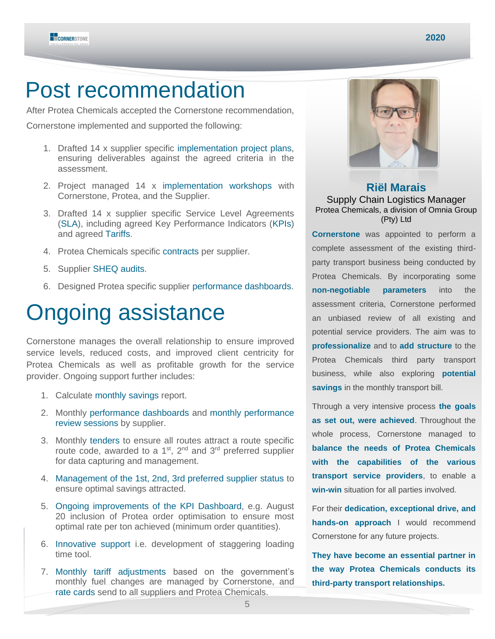

### Post recommendation

After Protea Chemicals accepted the Cornerstone recommendation,

Cornerstone implemented and supported the following:

- 1. Drafted 14 x supplier specific implementation project plans, ensuring deliverables against the agreed criteria in the assessment.
- 2. Project managed 14 x implementation workshops with Cornerstone, Protea, and the Supplier.
- 3. Drafted 14 x supplier specific Service Level Agreements (SLA), including agreed Key Performance Indicators (KPIs) and agreed Tariffs.
- 4. Protea Chemicals specific contracts per supplier.
- 5. Supplier SHEQ audits.
- 6. Designed Protea specific supplier performance dashboards.

# Ongoing assistance

Cornerstone manages the overall relationship to ensure improved service levels, reduced costs, and improved client centricity for Protea Chemicals as well as profitable growth for the service provider. Ongoing support further includes:

- 1. Calculate monthly savings report.
- 2. Monthly performance dashboards and monthly performance review sessions by supplier.
- 3. Monthly tenders to ensure all routes attract a route specific route code, awarded to a  $1<sup>st</sup>$ ,  $2<sup>nd</sup>$  and  $3<sup>rd</sup>$  preferred supplier for data capturing and management.
- 4. Management of the 1st, 2nd, 3rd preferred supplier status to ensure optimal savings attracted.
- 5. Ongoing improvements of the KPI Dashboard, e.g. August 20 inclusion of Protea order optimisation to ensure most optimal rate per ton achieved (minimum order quantities).
- 6. Innovative support i.e. development of staggering loading time tool.
- 7. Monthly tariff adjustments based on the government's monthly fuel changes are managed by Cornerstone, and rate cards send to all suppliers and Protea Chemicals.



### **Riël Marais** Supply Chain Logistics Manager Protea Chemicals, a division of Omnia Group (Pty) Ltd

**Cornerstone** was appointed to perform a complete assessment of the existing thirdparty transport business being conducted by Protea Chemicals. By incorporating some **non-negotiable parameters** into the assessment criteria, Cornerstone performed an unbiased review of all existing and potential service providers. The aim was to **professionalize** and to **add structure** to the Protea Chemicals third party transport business, while also exploring **potential savings** in the monthly transport bill.

Through a very intensive process **the goals as set out, were achieved**. Throughout the whole process, Cornerstone managed to **balance the needs of Protea Chemicals with the capabilities of the various transport service providers**, to enable a **win-win** situation for all parties involved.

For their **dedication, exceptional drive, and hands-on approach** I would recommend Cornerstone for any future projects.

**They have become an essential partner in the way Protea Chemicals conducts its third-party transport relationships.**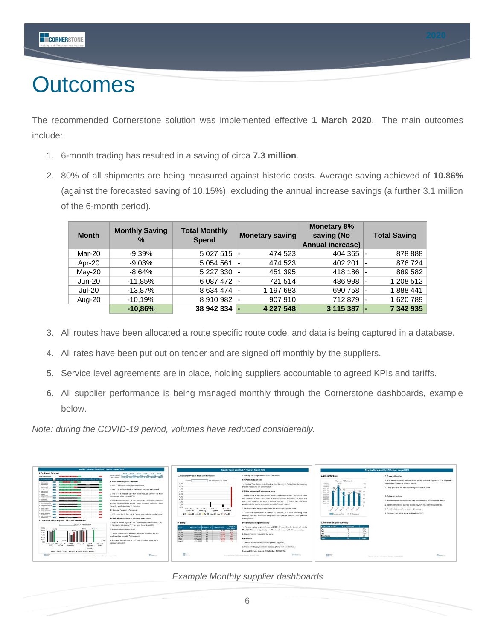

# **Outcomes**

The recommended Cornerstone solution was implemented effective **1 March 2020**. The main outcomes include:

- 1. 6-month trading has resulted in a saving of circa **7.3 million**.
- 2. 80% of all shipments are being measured against historic costs. Average saving achieved of **10.86%** (against the forecasted saving of 10.15%), excluding the annual increase savings (a further 3.1 million of the 6-month period).

| <b>Month</b>  | <b>Monthly Saving</b><br>$\frac{0}{0}$ | <b>Total Monthly</b><br><b>Spend</b> | <b>Monetary saving</b> | <b>Monetary 8%</b><br>saving (No<br><b>Annual increase)</b> | <b>Total Saving</b> |
|---------------|----------------------------------------|--------------------------------------|------------------------|-------------------------------------------------------------|---------------------|
| Mar-20        | $-9.39\%$                              | 5 0 2 7 5 1 5                        | 474 523                | 404 365                                                     | 878 888             |
| Apr-20        | $-9.03%$                               | 5 0 5 4 5 6 1                        | 474 523                | 402 201                                                     | 876 724             |
| $Mav-20$      | $-8.64%$                               | 5 227 330                            | 451 395                | 418 186                                                     | 869 582             |
| $Jun-20$      | $-11.85%$                              | 6 087 472 -                          | 721 514                | 486 998                                                     | 1 208 512           |
| <b>Jul-20</b> | $-13.87\%$                             | 8 634 474 -                          | 1 197 683              | 690 758                                                     | 1888441             |
| Aug-20        | $-10,19%$                              | 8910982                              | 907 910                | 712879                                                      | 1620789             |
|               | $-10,86%$                              | 38 942 334                           | 4 227 548              | 3 115 387                                                   | 7 342 935           |

- 3. All routes have been allocated a route specific route code, and data is being captured in a database.
- 4. All rates have been put out on tender and are signed off monthly by the suppliers.
- 5. Service level agreements are in place, holding suppliers accountable to agreed KPIs and tariffs.
- 6. All supplier performance is being managed monthly through the Cornerstone dashboards, example below.

*Note: during the COVID-19 period, volumes have reduced considerably.*



*Example Monthly supplier dashboards*